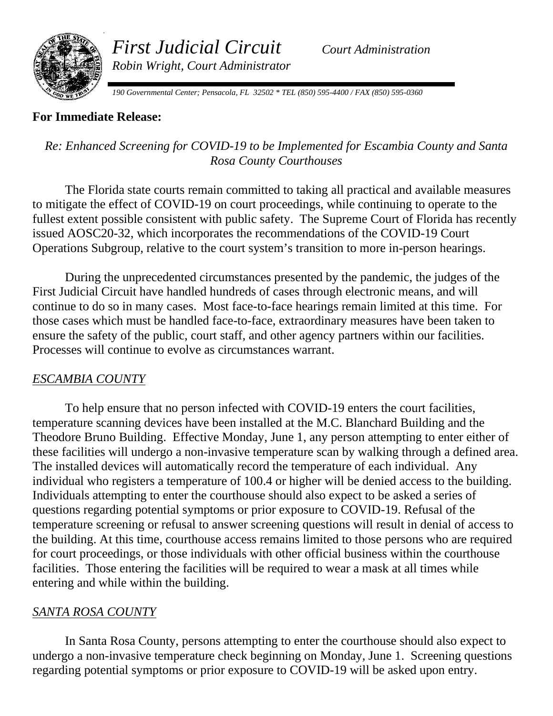

*First Judicial Circuit Court Administration Robin Wright, Court Administrator* 

*190 Governmental Center; Pensacola, FL 32502 \* TEL (850) 595-4400 / FAX (850) 595-0360*

### **For Immediate Release:**

## *Re: Enhanced Screening for COVID-19 to be Implemented for Escambia County and Santa Rosa County Courthouses*

The Florida state courts remain committed to taking all practical and available measures to mitigate the effect of COVID-19 on court proceedings, while continuing to operate to the fullest extent possible consistent with public safety. The Supreme Court of Florida has recently issued AOSC20-32, which incorporates the recommendations of the COVID-19 Court Operations Subgroup, relative to the court system's transition to more in-person hearings.

During the unprecedented circumstances presented by the pandemic, the judges of the First Judicial Circuit have handled hundreds of cases through electronic means, and will continue to do so in many cases. Most face-to-face hearings remain limited at this time. For those cases which must be handled face-to-face, extraordinary measures have been taken to ensure the safety of the public, court staff, and other agency partners within our facilities. Processes will continue to evolve as circumstances warrant.

# *ESCAMBIA COUNTY*

To help ensure that no person infected with COVID-19 enters the court facilities, temperature scanning devices have been installed at the M.C. Blanchard Building and the Theodore Bruno Building. Effective Monday, June 1, any person attempting to enter either of these facilities will undergo a non-invasive temperature scan by walking through a defined area. The installed devices will automatically record the temperature of each individual. Any individual who registers a temperature of 100.4 or higher will be denied access to the building. Individuals attempting to enter the courthouse should also expect to be asked a series of questions regarding potential symptoms or prior exposure to COVID-19. Refusal of the temperature screening or refusal to answer screening questions will result in denial of access to the building. At this time, courthouse access remains limited to those persons who are required for court proceedings, or those individuals with other official business within the courthouse facilities. Those entering the facilities will be required to wear a mask at all times while entering and while within the building.

#### *SANTA ROSA COUNTY*

In Santa Rosa County, persons attempting to enter the courthouse should also expect to undergo a non-invasive temperature check beginning on Monday, June 1. Screening questions regarding potential symptoms or prior exposure to COVID-19 will be asked upon entry.